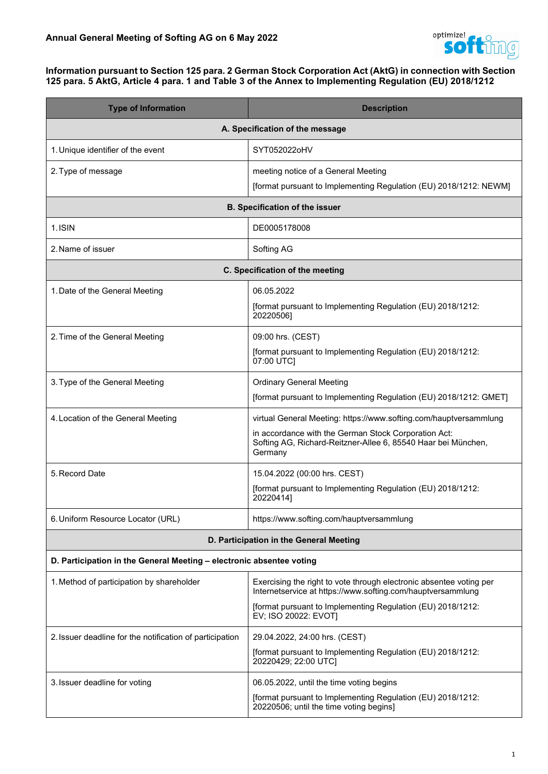

#### **Information pursuant to Section 125 para. 2 German Stock Corporation Act (AktG) in connection with Section 125 para. 5 AktG, Article 4 para. 1 and Table 3 of the Annex to Implementing Regulation (EU) 2018/1212**

| <b>Type of Information</b>                                           | <b>Description</b>                                                                                                                                                                                                        |  |
|----------------------------------------------------------------------|---------------------------------------------------------------------------------------------------------------------------------------------------------------------------------------------------------------------------|--|
|                                                                      | A. Specification of the message                                                                                                                                                                                           |  |
| 1. Unique identifier of the event                                    | SYT052022oHV                                                                                                                                                                                                              |  |
| 2. Type of message                                                   | meeting notice of a General Meeting<br>[format pursuant to Implementing Regulation (EU) 2018/1212: NEWM]                                                                                                                  |  |
|                                                                      | <b>B. Specification of the issuer</b>                                                                                                                                                                                     |  |
| 1.ISIN                                                               | DE0005178008                                                                                                                                                                                                              |  |
| 2. Name of issuer                                                    | Softing AG                                                                                                                                                                                                                |  |
| C. Specification of the meeting                                      |                                                                                                                                                                                                                           |  |
| 1. Date of the General Meeting                                       | 06.05.2022<br>[format pursuant to Implementing Regulation (EU) 2018/1212:<br>20220506]                                                                                                                                    |  |
| 2. Time of the General Meeting                                       | 09:00 hrs. (CEST)<br>[format pursuant to Implementing Regulation (EU) 2018/1212:<br>07:00 UTC]                                                                                                                            |  |
| 3. Type of the General Meeting                                       | <b>Ordinary General Meeting</b><br>[format pursuant to Implementing Regulation (EU) 2018/1212: GMET]                                                                                                                      |  |
| 4. Location of the General Meeting                                   | virtual General Meeting: https://www.softing.com/hauptversammlung<br>in accordance with the German Stock Corporation Act:<br>Softing AG, Richard-Reitzner-Allee 6, 85540 Haar bei München,<br>Germany                     |  |
| 5. Record Date                                                       | 15.04.2022 (00:00 hrs. CEST)<br>[format pursuant to Implementing Regulation (EU) 2018/1212:<br>20220414]                                                                                                                  |  |
| 6. Uniform Resource Locator (URL)                                    | https://www.softing.com/hauptversammlung                                                                                                                                                                                  |  |
|                                                                      | D. Participation in the General Meeting                                                                                                                                                                                   |  |
| D. Participation in the General Meeting - electronic absentee voting |                                                                                                                                                                                                                           |  |
| 1. Method of participation by shareholder                            | Exercising the right to vote through electronic absentee voting per<br>Internetservice at https://www.softing.com/hauptversammlung<br>[format pursuant to Implementing Regulation (EU) 2018/1212:<br>EV; ISO 20022: EVOT] |  |
| 2. Issuer deadline for the notification of participation             | 29.04.2022, 24:00 hrs. (CEST)<br>[format pursuant to Implementing Regulation (EU) 2018/1212:<br>20220429; 22:00 UTC]                                                                                                      |  |
| 3. Issuer deadline for voting                                        | 06.05.2022, until the time voting begins<br>[format pursuant to Implementing Regulation (EU) 2018/1212:<br>20220506; until the time voting begins]                                                                        |  |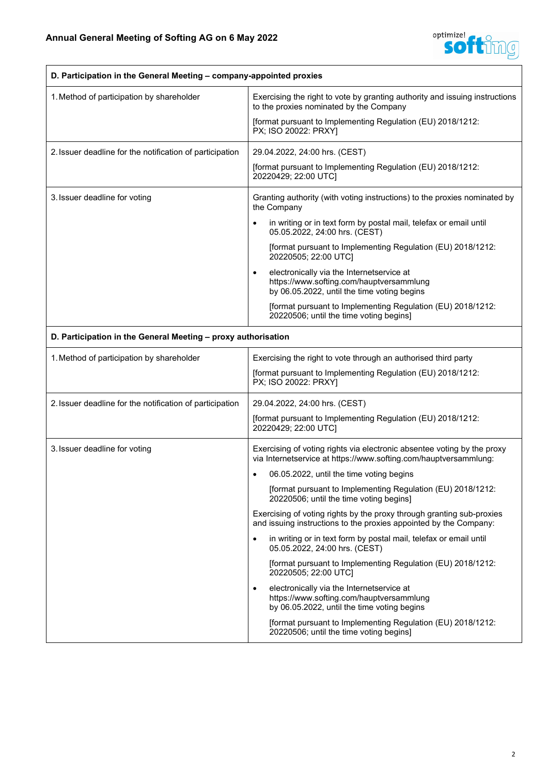

| D. Participation in the General Meeting - company-appointed proxies |                                                                                                                                                                                                                                                                                                                                                                                                                                                                                                                                                                                                                                                                                                                                                                                                                                                                                                                                       |
|---------------------------------------------------------------------|---------------------------------------------------------------------------------------------------------------------------------------------------------------------------------------------------------------------------------------------------------------------------------------------------------------------------------------------------------------------------------------------------------------------------------------------------------------------------------------------------------------------------------------------------------------------------------------------------------------------------------------------------------------------------------------------------------------------------------------------------------------------------------------------------------------------------------------------------------------------------------------------------------------------------------------|
| 1. Method of participation by shareholder                           | Exercising the right to vote by granting authority and issuing instructions<br>to the proxies nominated by the Company<br>[format pursuant to Implementing Regulation (EU) 2018/1212:<br>PX; ISO 20022: PRXY]                                                                                                                                                                                                                                                                                                                                                                                                                                                                                                                                                                                                                                                                                                                         |
| 2. Issuer deadline for the notification of participation            | 29.04.2022, 24:00 hrs. (CEST)<br>[format pursuant to Implementing Regulation (EU) 2018/1212:<br>20220429; 22:00 UTC]                                                                                                                                                                                                                                                                                                                                                                                                                                                                                                                                                                                                                                                                                                                                                                                                                  |
| 3. Issuer deadline for voting                                       | Granting authority (with voting instructions) to the proxies nominated by<br>the Company<br>in writing or in text form by postal mail, telefax or email until<br>$\bullet$<br>05.05.2022, 24:00 hrs. (CEST)<br>[format pursuant to Implementing Regulation (EU) 2018/1212:<br>20220505; 22:00 UTC]<br>electronically via the Internetservice at<br>$\bullet$<br>https://www.softing.com/hauptversammlung<br>by 06.05.2022, until the time voting begins<br>[format pursuant to Implementing Regulation (EU) 2018/1212:<br>20220506; until the time voting begins]                                                                                                                                                                                                                                                                                                                                                                     |
| D. Participation in the General Meeting - proxy authorisation       |                                                                                                                                                                                                                                                                                                                                                                                                                                                                                                                                                                                                                                                                                                                                                                                                                                                                                                                                       |
| 1. Method of participation by shareholder                           | Exercising the right to vote through an authorised third party<br>[format pursuant to Implementing Regulation (EU) 2018/1212:<br>PX; ISO 20022: PRXY]                                                                                                                                                                                                                                                                                                                                                                                                                                                                                                                                                                                                                                                                                                                                                                                 |
| 2. Issuer deadline for the notification of participation            | 29.04.2022, 24:00 hrs. (CEST)<br>[format pursuant to Implementing Regulation (EU) 2018/1212:<br>20220429; 22:00 UTC]                                                                                                                                                                                                                                                                                                                                                                                                                                                                                                                                                                                                                                                                                                                                                                                                                  |
| 3. Issuer deadline for voting                                       | Exercising of voting rights via electronic absentee voting by the proxy<br>via Internetservice at https://www.softing.com/hauptversammlung:<br>06.05.2022, until the time voting begins<br>$\bullet$<br>[format pursuant to Implementing Regulation (EU) 2018/1212:<br>20220506; until the time voting begins]<br>Exercising of voting rights by the proxy through granting sub-proxies<br>and issuing instructions to the proxies appointed by the Company:<br>in writing or in text form by postal mail, telefax or email until<br>$\bullet$<br>05.05.2022, 24:00 hrs. (CEST)<br>[format pursuant to Implementing Regulation (EU) 2018/1212:<br>20220505; 22:00 UTC]<br>electronically via the Internetservice at<br>$\bullet$<br>https://www.softing.com/hauptversammlung<br>by 06.05.2022, until the time voting begins<br>[format pursuant to Implementing Regulation (EU) 2018/1212:<br>20220506; until the time voting begins] |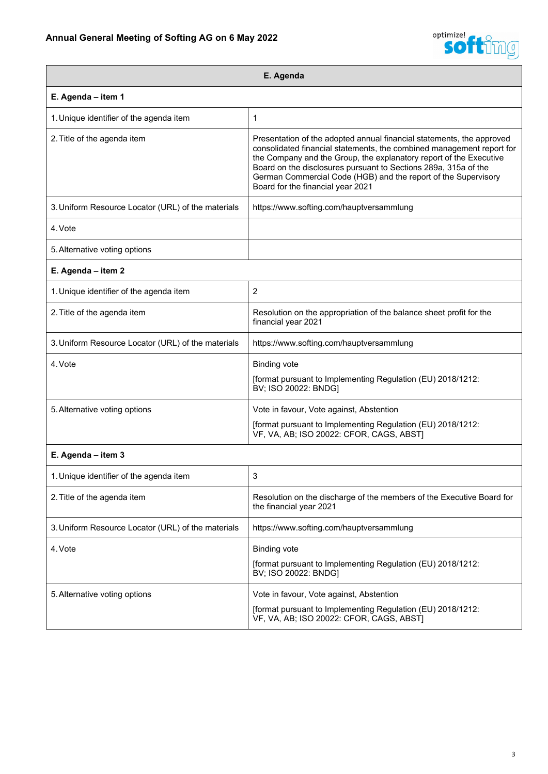

| E. Agenda                                          |                                                                                                                                                                                                                                                                                                                                                                                                |
|----------------------------------------------------|------------------------------------------------------------------------------------------------------------------------------------------------------------------------------------------------------------------------------------------------------------------------------------------------------------------------------------------------------------------------------------------------|
| E. Agenda - item 1                                 |                                                                                                                                                                                                                                                                                                                                                                                                |
| 1. Unique identifier of the agenda item            | 1                                                                                                                                                                                                                                                                                                                                                                                              |
| 2. Title of the agenda item                        | Presentation of the adopted annual financial statements, the approved<br>consolidated financial statements, the combined management report for<br>the Company and the Group, the explanatory report of the Executive<br>Board on the disclosures pursuant to Sections 289a, 315a of the<br>German Commercial Code (HGB) and the report of the Supervisory<br>Board for the financial year 2021 |
| 3. Uniform Resource Locator (URL) of the materials | https://www.softing.com/hauptversammlung                                                                                                                                                                                                                                                                                                                                                       |
| 4. Vote                                            |                                                                                                                                                                                                                                                                                                                                                                                                |
| 5. Alternative voting options                      |                                                                                                                                                                                                                                                                                                                                                                                                |
| E. Agenda - item 2                                 |                                                                                                                                                                                                                                                                                                                                                                                                |
| 1. Unique identifier of the agenda item            | $\overline{2}$                                                                                                                                                                                                                                                                                                                                                                                 |
| 2. Title of the agenda item                        | Resolution on the appropriation of the balance sheet profit for the<br>financial year 2021                                                                                                                                                                                                                                                                                                     |
| 3. Uniform Resource Locator (URL) of the materials | https://www.softing.com/hauptversammlung                                                                                                                                                                                                                                                                                                                                                       |
| 4. Vote                                            | <b>Binding vote</b><br>[format pursuant to Implementing Regulation (EU) 2018/1212:<br>BV; ISO 20022: BNDG]                                                                                                                                                                                                                                                                                     |
| 5. Alternative voting options                      | Vote in favour, Vote against, Abstention                                                                                                                                                                                                                                                                                                                                                       |
|                                                    | [format pursuant to Implementing Regulation (EU) 2018/1212:<br>VF, VA, AB; ISO 20022: CFOR, CAGS, ABST]                                                                                                                                                                                                                                                                                        |
| E. Agenda - item 3                                 |                                                                                                                                                                                                                                                                                                                                                                                                |
| 1. Unique identifier of the agenda item            | 3                                                                                                                                                                                                                                                                                                                                                                                              |
| 2. Title of the agenda item                        | Resolution on the discharge of the members of the Executive Board for<br>the financial year 2021                                                                                                                                                                                                                                                                                               |
| 3. Uniform Resource Locator (URL) of the materials | https://www.softing.com/hauptversammlung                                                                                                                                                                                                                                                                                                                                                       |
| 4. Vote                                            | <b>Binding vote</b>                                                                                                                                                                                                                                                                                                                                                                            |
|                                                    | [format pursuant to Implementing Regulation (EU) 2018/1212:<br>BV; ISO 20022: BNDG]                                                                                                                                                                                                                                                                                                            |
| 5. Alternative voting options                      | Vote in favour, Vote against, Abstention                                                                                                                                                                                                                                                                                                                                                       |
|                                                    | [format pursuant to Implementing Regulation (EU) 2018/1212:<br>VF, VA, AB; ISO 20022: CFOR, CAGS, ABST]                                                                                                                                                                                                                                                                                        |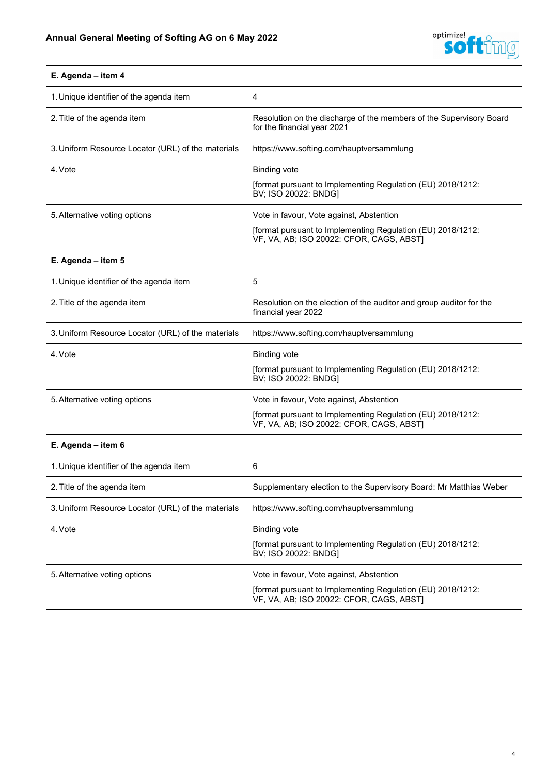

# **E. Agenda – item 4** 1. Unique identifier of the agenda item  $\begin{vmatrix} 4 \end{vmatrix}$ 2. Title of the agenda item **Resolution** on the discharge of the members of the Supervisory Board for the financial year 2021 3.Uniform Resource Locator (URL) of the materials https://www.softing.com/hauptversammlung 4. Vote **Binding vote** [format pursuant to Implementing Regulation (EU) 2018/1212: BV; ISO 20022: BNDG] 5. Alternative voting options **Vote in favour, Vote against, Abstention** [format pursuant to Implementing Regulation (EU) 2018/1212: VF, VA, AB; ISO 20022: CFOR, CAGS, ABST]

#### **E. Agenda – item 5**

| 1. Unique identifier of the agenda item            | 5                                                                                                                                                   |
|----------------------------------------------------|-----------------------------------------------------------------------------------------------------------------------------------------------------|
| 2. Title of the agenda item                        | Resolution on the election of the auditor and group auditor for the<br>financial year 2022                                                          |
| 3. Uniform Resource Locator (URL) of the materials | https://www.softing.com/hauptversammlung                                                                                                            |
| 4. Vote                                            | Binding vote<br>[format pursuant to Implementing Regulation (EU) 2018/1212:<br>BV; ISO 20022: BNDG]                                                 |
| 5. Alternative voting options                      | Vote in favour, Vote against, Abstention<br>[format pursuant to Implementing Regulation (EU) 2018/1212:<br>VF, VA, AB; ISO 20022: CFOR, CAGS, ABSTI |

#### **E. Agenda – item 6**

| 1. Unique identifier of the agenda item            | 6                                                                                                                                                   |
|----------------------------------------------------|-----------------------------------------------------------------------------------------------------------------------------------------------------|
| 2. Title of the agenda item                        | Supplementary election to the Supervisory Board: Mr Matthias Weber                                                                                  |
| 3. Uniform Resource Locator (URL) of the materials | https://www.softing.com/hauptversammlung                                                                                                            |
| 4. Vote                                            | <b>Binding vote</b><br>[format pursuant to Implementing Regulation (EU) 2018/1212:<br>BV; ISO 20022: BNDG]                                          |
| 5. Alternative voting options                      | Vote in favour, Vote against, Abstention<br>[format pursuant to Implementing Regulation (EU) 2018/1212:<br>VF, VA, AB; ISO 20022: CFOR, CAGS, ABST] |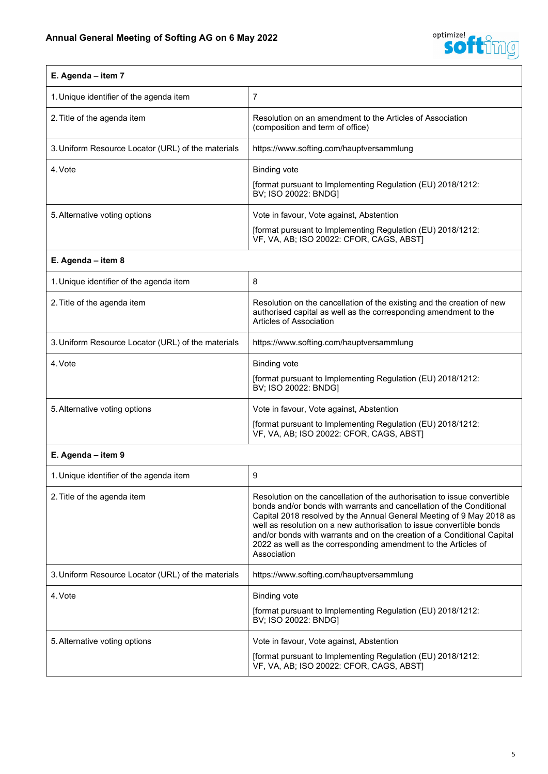

| E. Agenda – item 7                                 |                                                                                                                                                     |
|----------------------------------------------------|-----------------------------------------------------------------------------------------------------------------------------------------------------|
| 1. Unique identifier of the agenda item            |                                                                                                                                                     |
| 2. Title of the agenda item                        | Resolution on an amendment to the Articles of Association<br>(composition and term of office)                                                       |
| 3. Uniform Resource Locator (URL) of the materials | https://www.softing.com/hauptversammlung                                                                                                            |
| 4. Vote                                            | <b>Binding vote</b><br>[format pursuant to Implementing Regulation (EU) 2018/1212:<br>BV; ISO 20022: BNDGI                                          |
| 5. Alternative voting options                      | Vote in favour, Vote against, Abstention<br>[format pursuant to Implementing Regulation (EU) 2018/1212:<br>VF, VA, AB; ISO 20022: CFOR, CAGS, ABST] |

## **E. Agenda – item 8**

| 1. Unique identifier of the agenda item            | 8                                                                                                                                                                     |
|----------------------------------------------------|-----------------------------------------------------------------------------------------------------------------------------------------------------------------------|
| 2. Title of the agenda item                        | Resolution on the cancellation of the existing and the creation of new<br>authorised capital as well as the corresponding amendment to the<br>Articles of Association |
| 3. Uniform Resource Locator (URL) of the materials | https://www.softing.com/hauptversammlung                                                                                                                              |
| 4. Vote                                            | <b>Binding vote</b><br>[format pursuant to Implementing Regulation (EU) 2018/1212:<br>BV; ISO 20022: BNDG]                                                            |
| 5. Alternative voting options                      | Vote in favour, Vote against, Abstention<br>[format pursuant to Implementing Regulation (EU) 2018/1212:<br>VF, VA, AB; ISO 20022: CFOR, CAGS, ABST)                   |

### **E. Agenda – item 9**

| 1. Unique identifier of the agenda item            | 9                                                                                                                                                                                                                                                                                                                                                                                                                                                            |
|----------------------------------------------------|--------------------------------------------------------------------------------------------------------------------------------------------------------------------------------------------------------------------------------------------------------------------------------------------------------------------------------------------------------------------------------------------------------------------------------------------------------------|
| 2. Title of the agenda item                        | Resolution on the cancellation of the authorisation to issue convertible<br>bonds and/or bonds with warrants and cancellation of the Conditional<br>Capital 2018 resolved by the Annual General Meeting of 9 May 2018 as<br>well as resolution on a new authorisation to issue convertible bonds<br>and/or bonds with warrants and on the creation of a Conditional Capital<br>2022 as well as the corresponding amendment to the Articles of<br>Association |
| 3. Uniform Resource Locator (URL) of the materials | https://www.softing.com/hauptversammlung                                                                                                                                                                                                                                                                                                                                                                                                                     |
| 4. Vote                                            | Binding vote<br>[format pursuant to Implementing Regulation (EU) 2018/1212:<br>BV; ISO 20022: BNDGI                                                                                                                                                                                                                                                                                                                                                          |
| 5. Alternative voting options                      | Vote in favour, Vote against, Abstention<br>[format pursuant to Implementing Regulation (EU) 2018/1212:<br>VF, VA, AB; ISO 20022: CFOR, CAGS, ABST]                                                                                                                                                                                                                                                                                                          |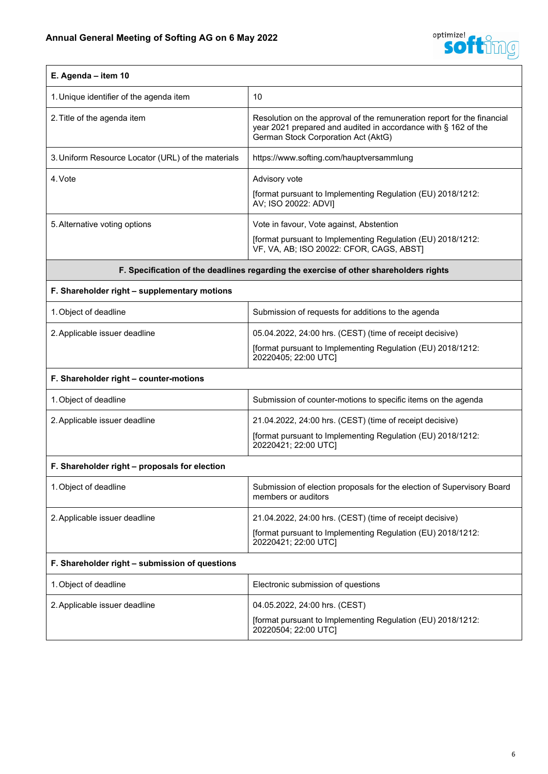

| E. Agenda - item 10                                                                   |                                                                                                                                                                                  |
|---------------------------------------------------------------------------------------|----------------------------------------------------------------------------------------------------------------------------------------------------------------------------------|
| 1. Unique identifier of the agenda item                                               | 10                                                                                                                                                                               |
| 2. Title of the agenda item                                                           | Resolution on the approval of the remuneration report for the financial<br>year 2021 prepared and audited in accordance with § 162 of the<br>German Stock Corporation Act (AktG) |
| 3. Uniform Resource Locator (URL) of the materials                                    | https://www.softing.com/hauptversammlung                                                                                                                                         |
| 4. Vote                                                                               | Advisory vote                                                                                                                                                                    |
|                                                                                       | [format pursuant to Implementing Regulation (EU) 2018/1212:<br>AV; ISO 20022: ADVI]                                                                                              |
| 5. Alternative voting options                                                         | Vote in favour, Vote against, Abstention                                                                                                                                         |
|                                                                                       | [format pursuant to Implementing Regulation (EU) 2018/1212:<br>VF, VA, AB; ISO 20022: CFOR, CAGS, ABST]                                                                          |
| F. Specification of the deadlines regarding the exercise of other shareholders rights |                                                                                                                                                                                  |
| F. Shareholder right - supplementary motions                                          |                                                                                                                                                                                  |
| 1. Object of deadline                                                                 | Submission of requests for additions to the agenda                                                                                                                               |
| 2. Applicable issuer deadline                                                         | 05.04.2022, 24:00 hrs. (CEST) (time of receipt decisive)                                                                                                                         |
|                                                                                       | [format pursuant to Implementing Regulation (EU) 2018/1212:<br>20220405; 22:00 UTC]                                                                                              |
| F. Shareholder right - counter-motions                                                |                                                                                                                                                                                  |
| 1. Object of deadline                                                                 | Submission of counter-motions to specific items on the agenda                                                                                                                    |
| 2. Applicable issuer deadline                                                         | 21.04.2022, 24:00 hrs. (CEST) (time of receipt decisive)                                                                                                                         |
|                                                                                       | [format pursuant to Implementing Regulation (EU) 2018/1212:<br>20220421; 22:00 UTC]                                                                                              |
| F. Shareholder right - proposals for election                                         |                                                                                                                                                                                  |
| 1. Object of deadline                                                                 | Submission of election proposals for the election of Supervisory Board<br>members or auditors                                                                                    |
| 2. Applicable issuer deadline                                                         | 21.04.2022, 24:00 hrs. (CEST) (time of receipt decisive)                                                                                                                         |
|                                                                                       | [format pursuant to Implementing Regulation (EU) 2018/1212:<br>20220421; 22:00 UTC]                                                                                              |
| F. Shareholder right - submission of questions                                        |                                                                                                                                                                                  |
| 1. Object of deadline                                                                 | Electronic submission of questions                                                                                                                                               |
| 2. Applicable issuer deadline                                                         | 04.05.2022, 24:00 hrs. (CEST)                                                                                                                                                    |
|                                                                                       | [format pursuant to Implementing Regulation (EU) 2018/1212:<br>20220504; 22:00 UTC]                                                                                              |